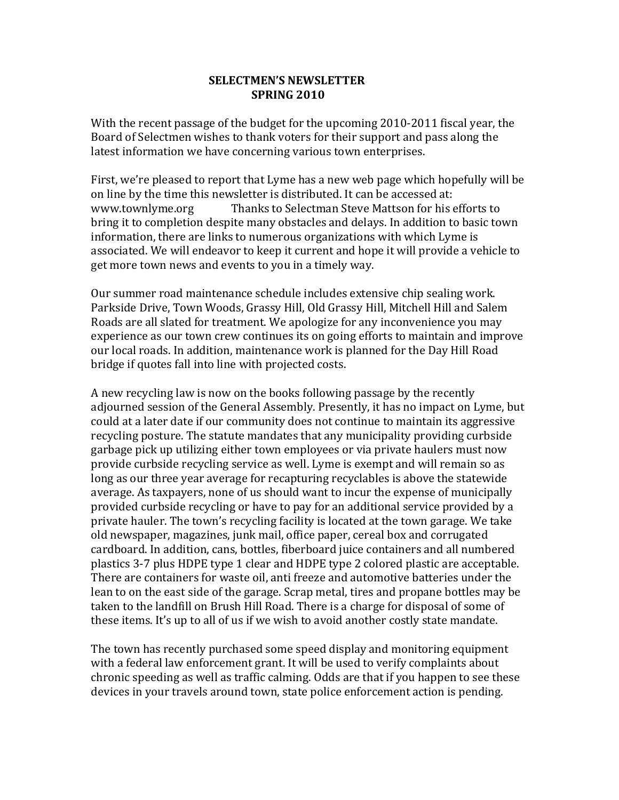## **SELECTMEN'S NEWSLETTER SPRING 2010**

With the recent passage of the budget for the upcoming 2010-2011 fiscal year, the Board of Selectmen wishes to thank voters for their support and pass along the latest information we have concerning various town enterprises.

First, we're pleased to report that Lyme has a new web page which hopefully will be on line by the time this newsletter is distributed. It can be accessed at: www.townlyme.org Thanks to Selectman Steve Mattson for his efforts to bring it to completion despite many obstacles and delays. In addition to basic town information, there are links to numerous organizations with which Lyme is associated. We will endeavor to keep it current and hope it will provide a vehicle to get more town news and events to you in a timely way.

Our summer road maintenance schedule includes extensive chip sealing work. Parkside Drive, Town Woods, Grassy Hill, Old Grassy Hill, Mitchell Hill and Salem Roads are all slated for treatment. We apologize for any inconvenience you may experience as our town crew continues its on going efforts to maintain and improve our local roads. In addition, maintenance work is planned for the Day Hill Road bridge if quotes fall into line with projected costs.

A new recycling law is now on the books following passage by the recently adjourned session of the General Assembly. Presently, it has no impact on Lyme, but could at a later date if our community does not continue to maintain its aggressive recycling posture. The statute mandates that any municipality providing curbside garbage pick up utilizing either town employees or via private haulers must now provide curbside recycling service as well. Lyme is exempt and will remain so as long as our three year average for recapturing recyclables is above the statewide average. As taxpayers, none of us should want to incur the expense of municipally provided curbside recycling or have to pay for an additional service provided by a private hauler. The town's recycling facility is located at the town garage. We take old newspaper, magazines, junk mail, office paper, cereal box and corrugated cardboard. In addition, cans, bottles, fiberboard juice containers and all numbered plastics 3-7 plus HDPE type 1 clear and HDPE type 2 colored plastic are acceptable. There are containers for waste oil, anti freeze and automotive batteries under the lean to on the east side of the garage. Scrap metal, tires and propane bottles may be taken to the landfill on Brush Hill Road. There is a charge for disposal of some of these items. It's up to all of us if we wish to avoid another costly state mandate.

The town has recently purchased some speed display and monitoring equipment with a federal law enforcement grant. It will be used to verify complaints about chronic speeding as well as traffic calming. Odds are that if you happen to see these devices in your travels around town, state police enforcement action is pending.